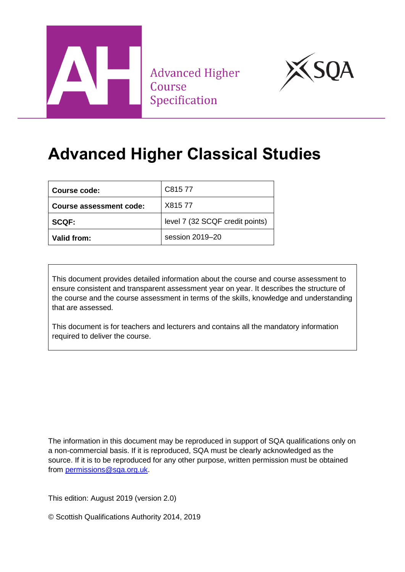

**Advanced Higher** Course Specification



## **Advanced Higher Classical Studies**

| Course code:                   | C815 77                         |
|--------------------------------|---------------------------------|
| <b>Course assessment code:</b> | X81577                          |
| <b>SCQF:</b>                   | level 7 (32 SCQF credit points) |
| Valid from:                    | session 2019-20                 |

This document provides detailed information about the course and course assessment to ensure consistent and transparent assessment year on year. It describes the structure of the course and the course assessment in terms of the skills, knowledge and understanding that are assessed.

This document is for teachers and lecturers and contains all the mandatory information required to deliver the course.

The information in this document may be reproduced in support of SQA qualifications only on a non-commercial basis. If it is reproduced, SQA must be clearly acknowledged as the source. If it is to be reproduced for any other purpose, written permission must be obtained from [permissions@sqa.org.uk.](mailto:permissions@sqa.org.uk)

This edition: August 2019 (version 2.0)

© Scottish Qualifications Authority 2014, 2019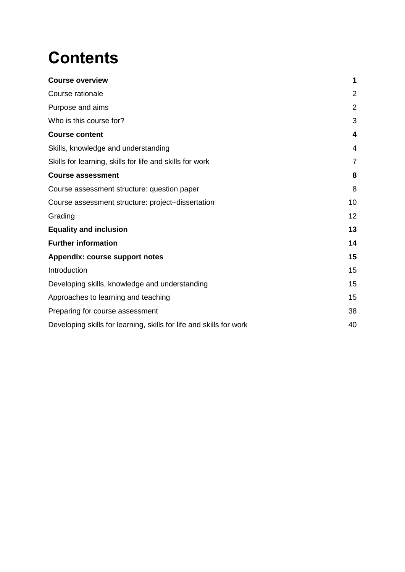# **Contents**

| <b>Course overview</b>                                              | 1              |
|---------------------------------------------------------------------|----------------|
| Course rationale                                                    | $\overline{2}$ |
| Purpose and aims                                                    | $\overline{2}$ |
| Who is this course for?                                             | 3              |
| <b>Course content</b>                                               | 4              |
| Skills, knowledge and understanding                                 | 4              |
| Skills for learning, skills for life and skills for work            | 7              |
| <b>Course assessment</b>                                            | 8              |
| Course assessment structure: question paper                         | 8              |
| Course assessment structure: project-dissertation                   | 10             |
| Grading                                                             | 12             |
| <b>Equality and inclusion</b>                                       | 13             |
| <b>Further information</b>                                          | 14             |
| <b>Appendix: course support notes</b>                               | 15             |
| Introduction                                                        | 15             |
| Developing skills, knowledge and understanding                      | 15             |
| Approaches to learning and teaching                                 | 15             |
| Preparing for course assessment                                     | 38             |
| Developing skills for learning, skills for life and skills for work | 40             |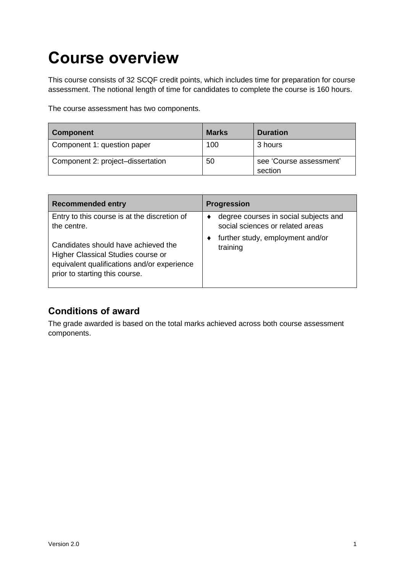## <span id="page-2-0"></span>**Course overview**

This course consists of 32 SCQF credit points, which includes time for preparation for course assessment. The notional length of time for candidates to complete the course is 160 hours.

The course assessment has two components.

| <b>Component</b>                  | <b>Marks</b> | <b>Duration</b>                    |
|-----------------------------------|--------------|------------------------------------|
| Component 1: question paper       | 100          | 3 hours                            |
| Component 2: project-dissertation | 50           | see 'Course assessment'<br>section |

| <b>Recommended entry</b>                                                                                                                                   | <b>Progression</b>                                                        |
|------------------------------------------------------------------------------------------------------------------------------------------------------------|---------------------------------------------------------------------------|
| Entry to this course is at the discretion of<br>the centre.                                                                                                | degree courses in social subjects and<br>social sciences or related areas |
| Candidates should have achieved the<br>Higher Classical Studies course or<br>equivalent qualifications and/or experience<br>prior to starting this course. | further study, employment and/or<br>training                              |

### **Conditions of award**

The grade awarded is based on the total marks achieved across both course assessment components.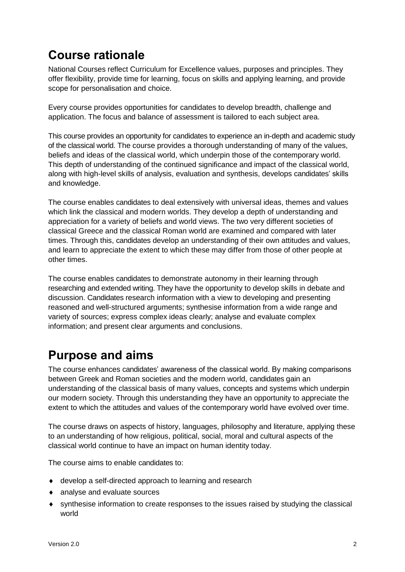## <span id="page-3-0"></span>**Course rationale**

National Courses reflect Curriculum for Excellence values, purposes and principles. They offer flexibility, provide time for learning, focus on skills and applying learning, and provide scope for personalisation and choice.

Every course provides opportunities for candidates to develop breadth, challenge and application. The focus and balance of assessment is tailored to each subject area.

This course provides an opportunity for candidates to experience an in-depth and academic study of the classical world. The course provides a thorough understanding of many of the values, beliefs and ideas of the classical world, which underpin those of the contemporary world. This depth of understanding of the continued significance and impact of the classical world, along with high-level skills of analysis, evaluation and synthesis, develops candidates' skills and knowledge.

The course enables candidates to deal extensively with universal ideas, themes and values which link the classical and modern worlds. They develop a depth of understanding and appreciation for a variety of beliefs and world views. The two very different societies of classical Greece and the classical Roman world are examined and compared with later times. Through this, candidates develop an understanding of their own attitudes and values, and learn to appreciate the extent to which these may differ from those of other people at other times.

The course enables candidates to demonstrate autonomy in their learning through researching and extended writing. They have the opportunity to develop skills in debate and discussion. Candidates research information with a view to developing and presenting reasoned and well-structured arguments; synthesise information from a wide range and variety of sources; express complex ideas clearly; analyse and evaluate complex information; and present clear arguments and conclusions.

## <span id="page-3-1"></span>**Purpose and aims**

The course enhances candidates' awareness of the classical world. By making comparisons between Greek and Roman societies and the modern world, candidates gain an understanding of the classical basis of many values, concepts and systems which underpin our modern society. Through this understanding they have an opportunity to appreciate the extent to which the attitudes and values of the contemporary world have evolved over time.

The course draws on aspects of history, languages, philosophy and literature, applying these to an understanding of how religious, political, social, moral and cultural aspects of the classical world continue to have an impact on human identity today.

The course aims to enable candidates to:

- develop a self-directed approach to learning and research
- analyse and evaluate sources
- synthesise information to create responses to the issues raised by studying the classical world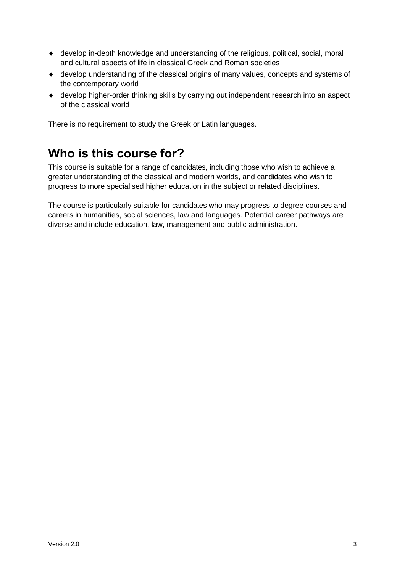- develop in-depth knowledge and understanding of the religious, political, social, moral and cultural aspects of life in classical Greek and Roman societies
- develop understanding of the classical origins of many values, concepts and systems of the contemporary world
- develop higher-order thinking skills by carrying out independent research into an aspect of the classical world

There is no requirement to study the Greek or Latin languages.

## <span id="page-4-0"></span>**Who is this course for?**

This course is suitable for a range of candidates, including those who wish to achieve a greater understanding of the classical and modern worlds, and candidates who wish to progress to more specialised higher education in the subject or related disciplines.

The course is particularly suitable for candidates who may progress to degree courses and careers in humanities, social sciences, law and languages. Potential career pathways are diverse and include education, law, management and public administration.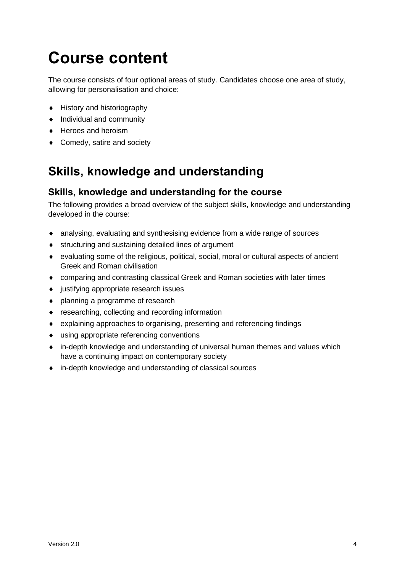## <span id="page-5-0"></span>**Course content**

The course consists of four optional areas of study. Candidates choose one area of study, allowing for personalisation and choice:

- ◆ History and historiography
- $\bullet$  Individual and community
- ◆ Heroes and heroism
- ◆ Comedy, satire and society

## <span id="page-5-1"></span>**Skills, knowledge and understanding**

#### **Skills, knowledge and understanding for the course**

The following provides a broad overview of the subject skills, knowledge and understanding developed in the course:

- analysing, evaluating and synthesising evidence from a wide range of sources
- structuring and sustaining detailed lines of argument
- evaluating some of the religious, political, social, moral or cultural aspects of ancient Greek and Roman civilisation
- comparing and contrasting classical Greek and Roman societies with later times
- justifying appropriate research issues
- planning a programme of research
- ◆ researching, collecting and recording information
- explaining approaches to organising, presenting and referencing findings
- using appropriate referencing conventions
- in-depth knowledge and understanding of universal human themes and values which have a continuing impact on contemporary society
- in-depth knowledge and understanding of classical sources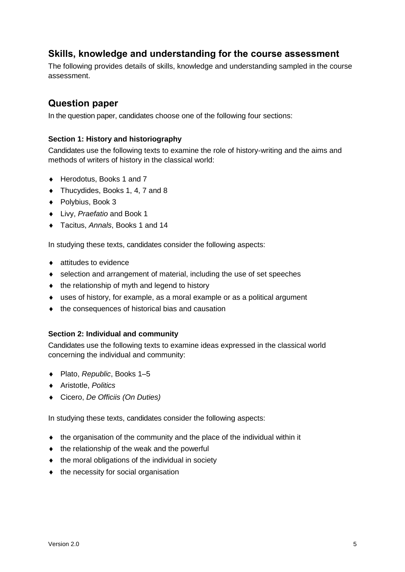#### **Skills, knowledge and understanding for the course assessment**

The following provides details of skills, knowledge and understanding sampled in the course assessment.

#### **Question paper**

In the question paper, candidates choose one of the following four sections:

#### **Section 1: History and historiography**

Candidates use the following texts to examine the role of history-writing and the aims and methods of writers of history in the classical world:

- ◆ Herodotus, Books 1 and 7
- ◆ Thucydides, Books 1, 4, 7 and 8
- ◆ Polybius, Book 3
- Livy, *Praefatio* and Book 1
- Tacitus, *Annals*, Books 1 and 14

In studying these texts, candidates consider the following aspects:

- ◆ attitudes to evidence
- selection and arrangement of material, including the use of set speeches
- $\bullet$  the relationship of myth and legend to history
- uses of history, for example, as a moral example or as a political argument
- $\bullet$  the consequences of historical bias and causation

#### **Section 2: Individual and community**

Candidates use the following texts to examine ideas expressed in the classical world concerning the individual and community:

- ◆ Plato, *Republic*, Books 1–5
- Aristotle, *Politics*
- Cicero, *De Officiis (On Duties)*

In studying these texts, candidates consider the following aspects:

- the organisation of the community and the place of the individual within it
- $\bullet$  the relationship of the weak and the powerful
- $\bullet$  the moral obligations of the individual in society
- $\bullet$  the necessity for social organisation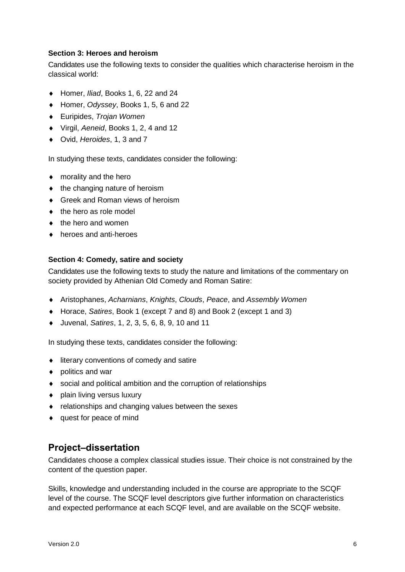#### **Section 3: Heroes and heroism**

Candidates use the following texts to consider the qualities which characterise heroism in the classical world:

- Homer, *Iliad*, Books 1, 6, 22 and 24
- Homer, *Odyssey*, Books 1, 5, 6 and 22
- Euripides, *Trojan Women*
- Virgil, *Aeneid*, Books 1, 2, 4 and 12
- Ovid, *Heroides*, 1, 3 and 7

In studying these texts, candidates consider the following:

- ◆ morality and the hero
- $\bullet$  the changing nature of heroism
- ◆ Greek and Roman views of heroism
- $\bullet$  the hero as role model
- $\bullet$  the hero and women
- ◆ heroes and anti-heroes

#### **Section 4: Comedy, satire and society**

Candidates use the following texts to study the nature and limitations of the commentary on society provided by Athenian Old Comedy and Roman Satire:

- Aristophanes, *Acharnians*, *Knights*, *Clouds*, *Peace*, and *Assembly Women*
- Horace, *Satires*, Book 1 (except 7 and 8) and Book 2 (except 1 and 3)
- Juvenal, *Satires*, 1, 2, 3, 5, 6, 8, 9, 10 and 11

In studying these texts, candidates consider the following:

- $\bullet$  literary conventions of comedy and satire
- ◆ politics and war
- social and political ambition and the corruption of relationships
- ◆ plain living versus luxury
- relationships and changing values between the sexes
- quest for peace of mind

#### **Project–dissertation**

Candidates choose a complex classical studies issue. Their choice is not constrained by the content of the question paper.

Skills, knowledge and understanding included in the course are appropriate to the SCQF level of the course. The SCQF level descriptors give further information on characteristics and expected performance at each SCQF level, and are available on the SCQF website.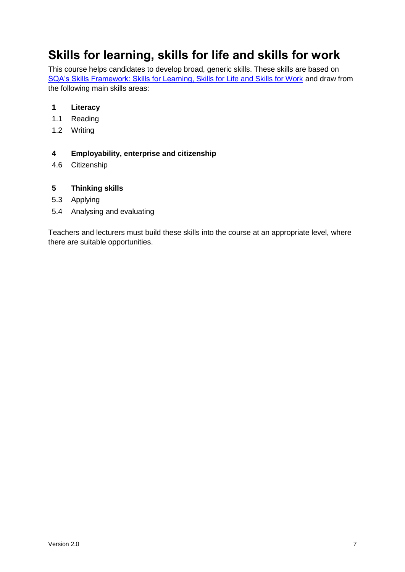## <span id="page-8-0"></span>**Skills for learning, skills for life and skills for work**

This course helps candidates to develop broad, generic skills. These skills are based on [SQA's Skills Framework: Skills for Learning, Skills for Life and Skills for Work](http://www.sqa.org.uk/sqa/63101.html) and draw from the following main skills areas:

#### **1 Literacy**

- 1.1 Reading
- 1.2 Writing

#### **4 Employability, enterprise and citizenship**

4.6 Citizenship

#### **5 Thinking skills**

- 5.3 Applying
- 5.4 Analysing and evaluating

Teachers and lecturers must build these skills into the course at an appropriate level, where there are suitable opportunities.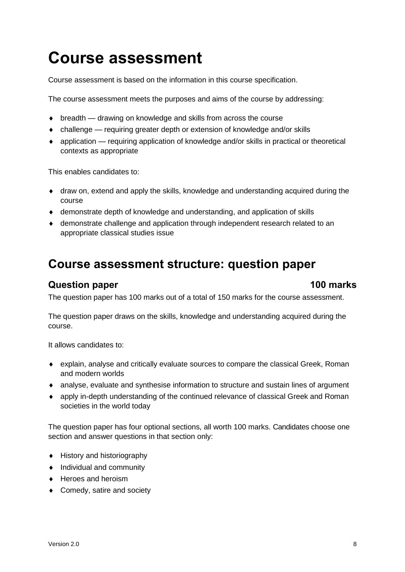## <span id="page-9-0"></span>**Course assessment**

Course assessment is based on the information in this course specification.

The course assessment meets the purposes and aims of the course by addressing:

- ◆ breadth drawing on knowledge and skills from across the course
- challenge requiring greater depth or extension of knowledge and/or skills
- application requiring application of knowledge and/or skills in practical or theoretical contexts as appropriate

This enables candidates to:

- draw on, extend and apply the skills, knowledge and understanding acquired during the course
- demonstrate depth of knowledge and understanding, and application of skills
- demonstrate challenge and application through independent research related to an appropriate classical studies issue

### <span id="page-9-1"></span>**Course assessment structure: question paper**

#### **Question paper 100 marks**

The question paper has 100 marks out of a total of 150 marks for the course assessment.

The question paper draws on the skills, knowledge and understanding acquired during the course.

It allows candidates to:

- explain, analyse and critically evaluate sources to compare the classical Greek, Roman and modern worlds
- analyse, evaluate and synthesise information to structure and sustain lines of argument
- apply in-depth understanding of the continued relevance of classical Greek and Roman societies in the world today

The question paper has four optional sections, all worth 100 marks. Candidates choose one section and answer questions in that section only:

- History and historiography
- Individual and community
- ◆ Heroes and heroism
- ◆ Comedy, satire and society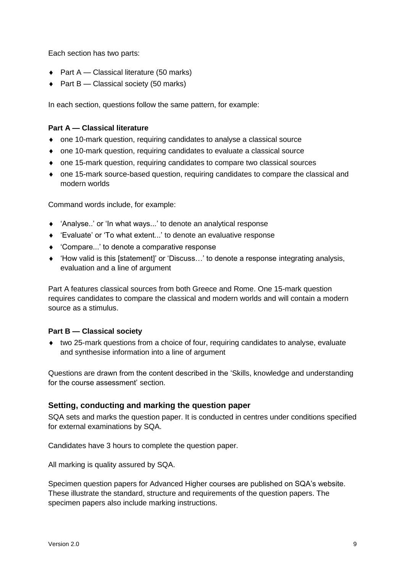Each section has two parts:

- $\bullet$  Part A Classical literature (50 marks)
- ◆ Part B Classical society (50 marks)

In each section, questions follow the same pattern, for example:

#### **Part A — Classical literature**

- one 10-mark question, requiring candidates to analyse a classical source
- one 10-mark question, requiring candidates to evaluate a classical source
- one 15-mark question, requiring candidates to compare two classical sources
- one 15-mark source-based question, requiring candidates to compare the classical and modern worlds

Command words include, for example:

- 'Analyse..' or 'In what ways...' to denote an analytical response
- 'Evaluate' or 'To what extent...' to denote an evaluative response
- 'Compare...' to denote a comparative response
- 'How valid is this [statement]' or 'Discuss…' to denote a response integrating analysis, evaluation and a line of argument

Part A features classical sources from both Greece and Rome. One 15-mark question requires candidates to compare the classical and modern worlds and will contain a modern source as a stimulus.

#### **Part B — Classical society**

 two 25-mark questions from a choice of four, requiring candidates to analyse, evaluate and synthesise information into a line of argument

Questions are drawn from the content described in the 'Skills, knowledge and understanding for the course assessment' section.

#### **Setting, conducting and marking the question paper**

SQA sets and marks the question paper. It is conducted in centres under conditions specified for external examinations by SQA.

Candidates have 3 hours to complete the question paper.

All marking is quality assured by SQA.

Specimen question papers for Advanced Higher courses are published on SQA's website. These illustrate the standard, structure and requirements of the question papers. The specimen papers also include marking instructions.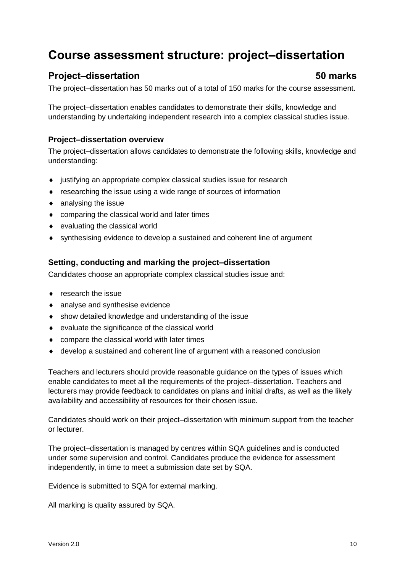## <span id="page-11-0"></span>**Course assessment structure: project–dissertation**

#### **Project–dissertation 50 marks**

The project–dissertation has 50 marks out of a total of 150 marks for the course assessment.

The project–dissertation enables candidates to demonstrate their skills, knowledge and understanding by undertaking independent research into a complex classical studies issue.

#### **Project–dissertation overview**

The project–dissertation allows candidates to demonstrate the following skills, knowledge and understanding:

- justifying an appropriate complex classical studies issue for research
- researching the issue using a wide range of sources of information
- analysing the issue
- comparing the classical world and later times
- evaluating the classical world
- synthesising evidence to develop a sustained and coherent line of argument

#### **Setting, conducting and marking the project–dissertation**

Candidates choose an appropriate complex classical studies issue and:

- $\bullet$  research the issue
- analyse and synthesise evidence
- show detailed knowledge and understanding of the issue
- evaluate the significance of the classical world
- compare the classical world with later times
- develop a sustained and coherent line of argument with a reasoned conclusion

Teachers and lecturers should provide reasonable guidance on the types of issues which enable candidates to meet all the requirements of the project–dissertation. Teachers and lecturers may provide feedback to candidates on plans and initial drafts, as well as the likely availability and accessibility of resources for their chosen issue.

Candidates should work on their project–dissertation with minimum support from the teacher or lecturer.

The project–dissertation is managed by centres within SQA guidelines and is conducted under some supervision and control. Candidates produce the evidence for assessment independently, in time to meet a submission date set by SQA.

Evidence is submitted to SQA for external marking.

All marking is quality assured by SQA.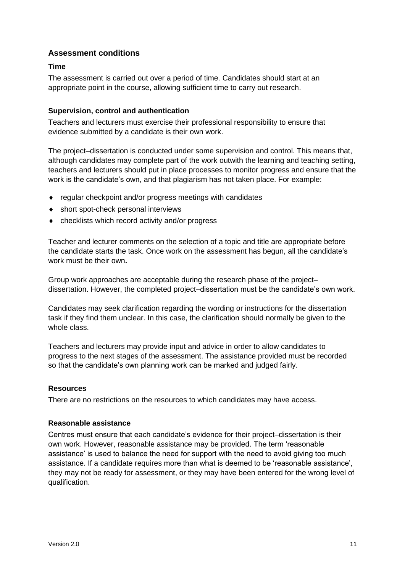#### **Assessment conditions**

#### **Time**

The assessment is carried out over a period of time. Candidates should start at an appropriate point in the course, allowing sufficient time to carry out research.

#### **Supervision, control and authentication**

Teachers and lecturers must exercise their professional responsibility to ensure that evidence submitted by a candidate is their own work.

The project–dissertation is conducted under some supervision and control. This means that, although candidates may complete part of the work outwith the learning and teaching setting, teachers and lecturers should put in place processes to monitor progress and ensure that the work is the candidate's own, and that plagiarism has not taken place. For example:

- ◆ regular checkpoint and/or progress meetings with candidates
- ◆ short spot-check personal interviews
- checklists which record activity and/or progress

Teacher and lecturer comments on the selection of a topic and title are appropriate before the candidate starts the task. Once work on the assessment has begun, all the candidate's work must be their own**.**

Group work approaches are acceptable during the research phase of the project– dissertation. However, the completed project–dissertation must be the candidate's own work.

Candidates may seek clarification regarding the wording or instructions for the dissertation task if they find them unclear. In this case, the clarification should normally be given to the whole class.

Teachers and lecturers may provide input and advice in order to allow candidates to progress to the next stages of the assessment. The assistance provided must be recorded so that the candidate's own planning work can be marked and judged fairly.

#### **Resources**

There are no restrictions on the resources to which candidates may have access.

#### **Reasonable assistance**

Centres must ensure that each candidate's evidence for their project–dissertation is their own work. However, reasonable assistance may be provided. The term 'reasonable assistance' is used to balance the need for support with the need to avoid giving too much assistance. If a candidate requires more than what is deemed to be 'reasonable assistance', they may not be ready for assessment, or they may have been entered for the wrong level of qualification.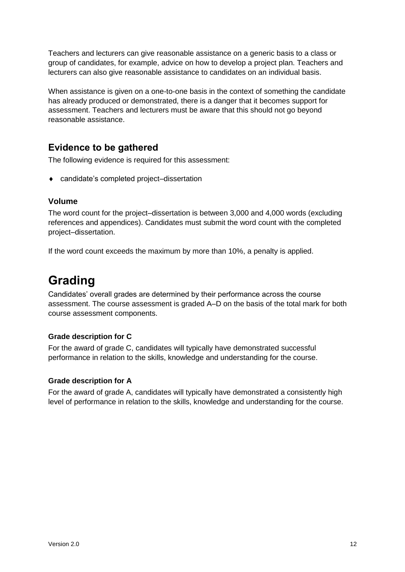Teachers and lecturers can give reasonable assistance on a generic basis to a class or group of candidates, for example, advice on how to develop a project plan. Teachers and lecturers can also give reasonable assistance to candidates on an individual basis.

When assistance is given on a one-to-one basis in the context of something the candidate has already produced or demonstrated, there is a danger that it becomes support for assessment. Teachers and lecturers must be aware that this should not go beyond reasonable assistance.

#### **Evidence to be gathered**

The following evidence is required for this assessment:

◆ candidate's completed project–dissertation

#### **Volume**

The word count for the project–dissertation is between 3,000 and 4,000 words (excluding references and appendices). Candidates must submit the word count with the completed project–dissertation.

If the word count exceeds the maximum by more than 10%, a penalty is applied.

## <span id="page-13-0"></span>**Grading**

Candidates' overall grades are determined by their performance across the course assessment. The course assessment is graded A–D on the basis of the total mark for both course assessment components.

#### **Grade description for C**

For the award of grade C, candidates will typically have demonstrated successful performance in relation to the skills, knowledge and understanding for the course.

#### **Grade description for A**

For the award of grade A, candidates will typically have demonstrated a consistently high level of performance in relation to the skills, knowledge and understanding for the course.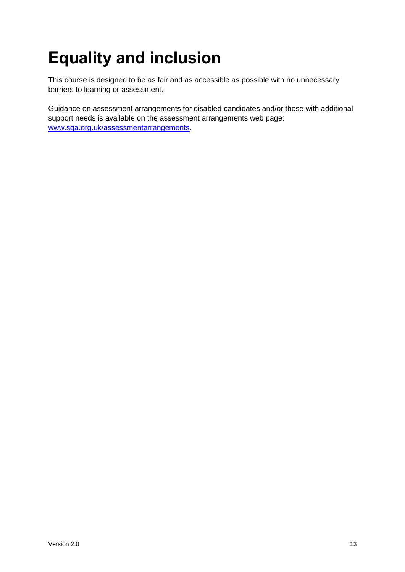# <span id="page-14-0"></span>**Equality and inclusion**

This course is designed to be as fair and as accessible as possible with no unnecessary barriers to learning or assessment.

Guidance on assessment arrangements for disabled candidates and/or those with additional support needs is available on the assessment arrangements web page: [www.sqa.org.uk/assessmentarrangements.](http://www.sqa.org.uk/assessmentarrangements)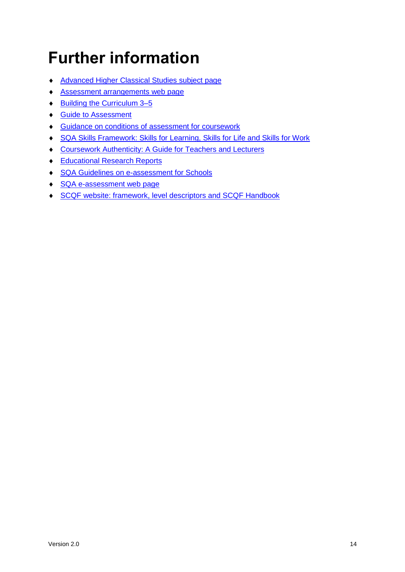## <span id="page-15-0"></span>**Further information**

- [Advanced Higher](https://www.sqa.org.uk/sqa/48464.html) Classical Studies subject page
- [Assessment arrangements web page](http://www.sqa.org.uk/assessmentarrangements)
- ◆ [Building the Curriculum 3–5](https://www.education.gov.scot/scottish-education-system/policy-for-scottish-education/policy-drivers/cfe-(building-from-the-statement-appendix-incl-btc1-5)/Building%20the%20Curriculum)
- ◆ [Guide to Assessment](http://www.sqa.org.uk/sqa/2424.html)
- Guidance on conditions of [assessment for coursework](http://www.sqa.org.uk/sqa/files_ccc/Guidance_on_conditions_of_assessment_for_coursework.pdf)
- [SQA Skills Framework: Skills for Learning, Skills for Life and Skills for Work](http://www.sqa.org.uk/sqa/63101.html)
- [Coursework Authenticity: A Guide for Teachers and Lecturers](http://www.sqa.org.uk/sqa/1418.html)
- ◆ [Educational Research Reports](http://www.sqa.org.uk/sqa/35847.958.html)
- ◆ [SQA Guidelines on e-assessment for Schools](http://www.sqa.org.uk/sqa/2424.html)
- ◆ [SQA e-assessment web page](http://www.sqa.org.uk/sqa/68750.html)
- **SCQF [website: framework, level descriptors and SCQF Handbook](https://scqf.org.uk/)**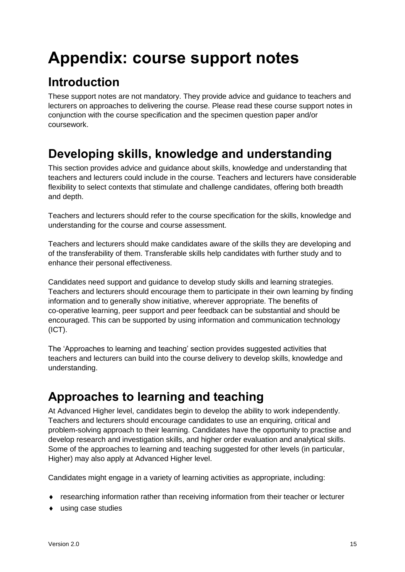## <span id="page-16-0"></span>**Appendix: course support notes**

## <span id="page-16-1"></span>**Introduction**

These support notes are not mandatory. They provide advice and guidance to teachers and lecturers on approaches to delivering the course. Please read these course support notes in conjunction with the course specification and the specimen question paper and/or coursework.

## <span id="page-16-2"></span>**Developing skills, knowledge and understanding**

This section provides advice and guidance about skills, knowledge and understanding that teachers and lecturers could include in the course. Teachers and lecturers have considerable flexibility to select contexts that stimulate and challenge candidates, offering both breadth and depth.

Teachers and lecturers should refer to the course specification for the skills, knowledge and understanding for the course and course assessment.

Teachers and lecturers should make candidates aware of the skills they are developing and of the transferability of them. Transferable skills help candidates with further study and to enhance their personal effectiveness.

Candidates need support and guidance to develop study skills and learning strategies. Teachers and lecturers should encourage them to participate in their own learning by finding information and to generally show initiative, wherever appropriate. The benefits of co-operative learning, peer support and peer feedback can be substantial and should be encouraged. This can be supported by using information and communication technology (ICT).

The 'Approaches to learning and teaching' section provides suggested activities that teachers and lecturers can build into the course delivery to develop skills, knowledge and understanding.

## <span id="page-16-3"></span>**Approaches to learning and teaching**

At Advanced Higher level, candidates begin to develop the ability to work independently. Teachers and lecturers should encourage candidates to use an enquiring, critical and problem-solving approach to their learning. Candidates have the opportunity to practise and develop research and investigation skills, and higher order evaluation and analytical skills. Some of the approaches to learning and teaching suggested for other levels (in particular, Higher) may also apply at Advanced Higher level.

Candidates might engage in a variety of learning activities as appropriate, including:

- researching information rather than receiving information from their teacher or lecturer
- using case studies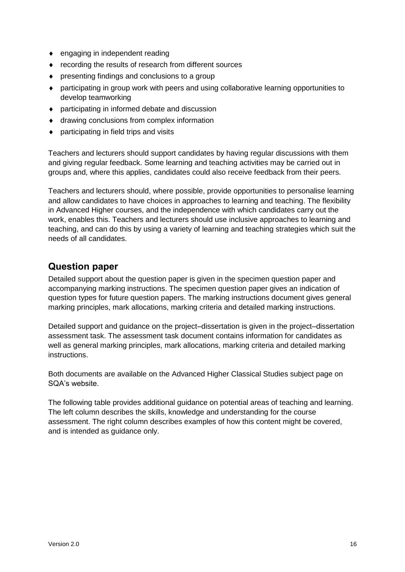- engaging in independent reading
- ◆ recording the results of research from different sources
- presenting findings and conclusions to a group
- participating in group work with peers and using collaborative learning opportunities to develop teamworking
- participating in informed debate and discussion
- ◆ drawing conclusions from complex information
- participating in field trips and visits

Teachers and lecturers should support candidates by having regular discussions with them and giving regular feedback. Some learning and teaching activities may be carried out in groups and, where this applies, candidates could also receive feedback from their peers.

Teachers and lecturers should, where possible, provide opportunities to personalise learning and allow candidates to have choices in approaches to learning and teaching. The flexibility in Advanced Higher courses, and the independence with which candidates carry out the work, enables this. Teachers and lecturers should use inclusive approaches to learning and teaching, and can do this by using a variety of learning and teaching strategies which suit the needs of all candidates.

#### **Question paper**

Detailed support about the question paper is given in the specimen question paper and accompanying marking instructions. The specimen question paper gives an indication of question types for future question papers. The marking instructions document gives general marking principles, mark allocations, marking criteria and detailed marking instructions.

Detailed support and guidance on the project–dissertation is given in the project–dissertation assessment task. The assessment task document contains information for candidates as well as general marking principles, mark allocations, marking criteria and detailed marking instructions.

Both documents are available on the Advanced Higher Classical Studies subject page on SQA's website.

The following table provides additional guidance on potential areas of teaching and learning. The left column describes the skills, knowledge and understanding for the course assessment. The right column describes examples of how this content might be covered, and is intended as guidance only.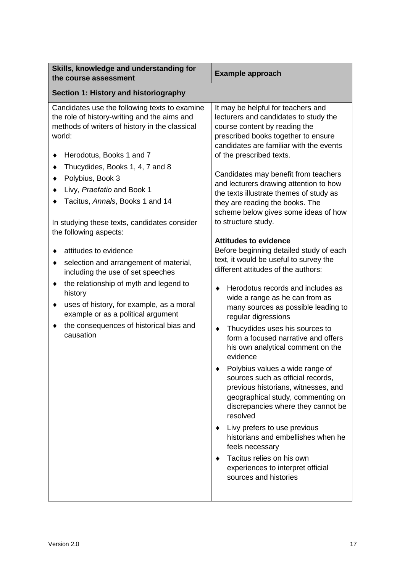| Skills, knowledge and understanding for<br>the course assessment                                                                                                                                                                                                                                                   | <b>Example approach</b>                                                                                                                                                                                                                                                                                                                                                                                                                                                                                                                                                                                                                                                                                                                                                                     |
|--------------------------------------------------------------------------------------------------------------------------------------------------------------------------------------------------------------------------------------------------------------------------------------------------------------------|---------------------------------------------------------------------------------------------------------------------------------------------------------------------------------------------------------------------------------------------------------------------------------------------------------------------------------------------------------------------------------------------------------------------------------------------------------------------------------------------------------------------------------------------------------------------------------------------------------------------------------------------------------------------------------------------------------------------------------------------------------------------------------------------|
| Section 1: History and historiography                                                                                                                                                                                                                                                                              |                                                                                                                                                                                                                                                                                                                                                                                                                                                                                                                                                                                                                                                                                                                                                                                             |
| Candidates use the following texts to examine<br>the role of history-writing and the aims and<br>methods of writers of history in the classical<br>world:<br>Herodotus, Books 1 and 7<br>٠                                                                                                                         | It may be helpful for teachers and<br>lecturers and candidates to study the<br>course content by reading the<br>prescribed books together to ensure<br>candidates are familiar with the events<br>of the prescribed texts.                                                                                                                                                                                                                                                                                                                                                                                                                                                                                                                                                                  |
| Thucydides, Books 1, 4, 7 and 8<br>Polybius, Book 3<br>Livy, Praefatio and Book 1<br>Tacitus, Annals, Books 1 and 14<br>In studying these texts, candidates consider<br>the following aspects:                                                                                                                     | Candidates may benefit from teachers<br>and lecturers drawing attention to how<br>the texts illustrate themes of study as<br>they are reading the books. The<br>scheme below gives some ideas of how<br>to structure study.<br><b>Attitudes to evidence</b>                                                                                                                                                                                                                                                                                                                                                                                                                                                                                                                                 |
| attitudes to evidence<br>selection and arrangement of material,<br>٠<br>including the use of set speeches<br>the relationship of myth and legend to<br>٠<br>history<br>uses of history, for example, as a moral<br>٠<br>example or as a political argument<br>the consequences of historical bias and<br>causation | Before beginning detailed study of each<br>text, it would be useful to survey the<br>different attitudes of the authors:<br>Herodotus records and includes as<br>٠<br>wide a range as he can from as<br>many sources as possible leading to<br>regular digressions<br>Thucydides uses his sources to<br>٠<br>form a focused narrative and offers<br>his own analytical comment on the<br>evidence<br>Polybius values a wide range of<br>sources such as official records,<br>previous historians, witnesses, and<br>geographical study, commenting on<br>discrepancies where they cannot be<br>resolved<br>Livy prefers to use previous<br>historians and embellishes when he<br>feels necessary<br>Tacitus relies on his own<br>experiences to interpret official<br>sources and histories |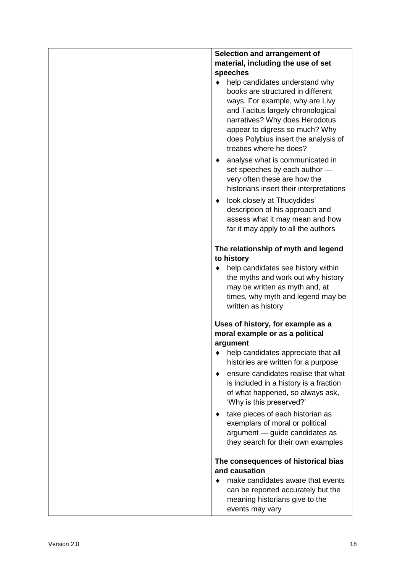| Selection and arrangement of                                                                                                                                                                                                                                                       |
|------------------------------------------------------------------------------------------------------------------------------------------------------------------------------------------------------------------------------------------------------------------------------------|
| material, including the use of set                                                                                                                                                                                                                                                 |
| speeches                                                                                                                                                                                                                                                                           |
| help candidates understand why<br>books are structured in different<br>ways. For example, why are Livy<br>and Tacitus largely chronological<br>narratives? Why does Herodotus<br>appear to digress so much? Why<br>does Polybius insert the analysis of<br>treaties where he does? |
| analyse what is communicated in<br>set speeches by each author -<br>very often these are how the<br>historians insert their interpretations                                                                                                                                        |
| look closely at Thucydides'<br>٠<br>description of his approach and<br>assess what it may mean and how<br>far it may apply to all the authors                                                                                                                                      |
| The relationship of myth and legend<br>to history                                                                                                                                                                                                                                  |
| help candidates see history within<br>the myths and work out why history<br>may be written as myth and, at<br>times, why myth and legend may be<br>written as history                                                                                                              |
| Uses of history, for example as a<br>moral example or as a political                                                                                                                                                                                                               |
| argument                                                                                                                                                                                                                                                                           |
| help candidates appreciate that all<br>histories are written for a purpose                                                                                                                                                                                                         |
| ensure candidates realise that what<br>is included in a history is a fraction<br>of what happened, so always ask,<br>'Why is this preserved?'                                                                                                                                      |
| take pieces of each historian as<br>exemplars of moral or political<br>argument - guide candidates as<br>they search for their own examples                                                                                                                                        |
| The consequences of historical bias<br>and causation                                                                                                                                                                                                                               |
| make candidates aware that events<br>can be reported accurately but the<br>meaning historians give to the<br>events may vary                                                                                                                                                       |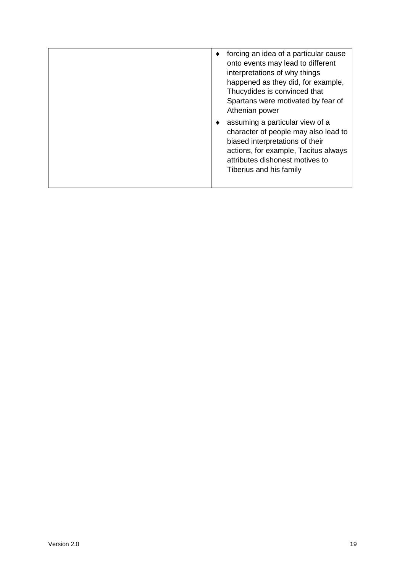|  | forcing an idea of a particular cause<br>onto events may lead to different<br>interpretations of why things<br>happened as they did, for example,<br>Thucydides is convinced that<br>Spartans were motivated by fear of<br>Athenian power |
|--|-------------------------------------------------------------------------------------------------------------------------------------------------------------------------------------------------------------------------------------------|
|  | assuming a particular view of a<br>character of people may also lead to<br>biased interpretations of their<br>actions, for example, Tacitus always<br>attributes dishonest motives to<br>Tiberius and his family                          |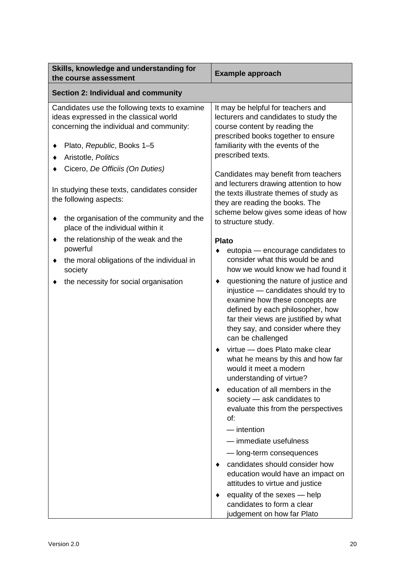| Skills, knowledge and understanding for<br>the course assessment                                                                                                  | <b>Example approach</b>                                                                                                                                                                                                                                     |
|-------------------------------------------------------------------------------------------------------------------------------------------------------------------|-------------------------------------------------------------------------------------------------------------------------------------------------------------------------------------------------------------------------------------------------------------|
| <b>Section 2: Individual and community</b>                                                                                                                        |                                                                                                                                                                                                                                                             |
| Candidates use the following texts to examine<br>ideas expressed in the classical world<br>concerning the individual and community:<br>Plato, Republic, Books 1-5 | It may be helpful for teachers and<br>lecturers and candidates to study the<br>course content by reading the<br>prescribed books together to ensure<br>familiarity with the events of the<br>prescribed texts.                                              |
| Aristotle, Politics                                                                                                                                               |                                                                                                                                                                                                                                                             |
| Cicero, De Officiis (On Duties)<br>In studying these texts, candidates consider<br>the following aspects:                                                         | Candidates may benefit from teachers<br>and lecturers drawing attention to how<br>the texts illustrate themes of study as<br>they are reading the books. The                                                                                                |
| the organisation of the community and the<br>place of the individual within it                                                                                    | scheme below gives some ideas of how<br>to structure study.                                                                                                                                                                                                 |
| the relationship of the weak and the<br>٠                                                                                                                         | <b>Plato</b>                                                                                                                                                                                                                                                |
| powerful<br>the moral obligations of the individual in<br>٠<br>society                                                                                            | eutopia - encourage candidates to<br>consider what this would be and<br>how we would know we had found it                                                                                                                                                   |
| the necessity for social organisation                                                                                                                             | questioning the nature of justice and<br>٠<br>injustice - candidates should try to<br>examine how these concepts are<br>defined by each philosopher, how<br>far their views are justified by what<br>they say, and consider where they<br>can be challenged |
|                                                                                                                                                                   | virtue - does Plato make clear<br>what he means by this and how far<br>would it meet a modern<br>understanding of virtue?                                                                                                                                   |
|                                                                                                                                                                   | education of all members in the<br>society - ask candidates to<br>evaluate this from the perspectives<br>of:                                                                                                                                                |
|                                                                                                                                                                   | $-$ intention                                                                                                                                                                                                                                               |
|                                                                                                                                                                   | - immediate usefulness                                                                                                                                                                                                                                      |
|                                                                                                                                                                   | - long-term consequences                                                                                                                                                                                                                                    |
|                                                                                                                                                                   | candidates should consider how<br>education would have an impact on<br>attitudes to virtue and justice                                                                                                                                                      |
|                                                                                                                                                                   | equality of the sexes - help<br>candidates to form a clear<br>judgement on how far Plato                                                                                                                                                                    |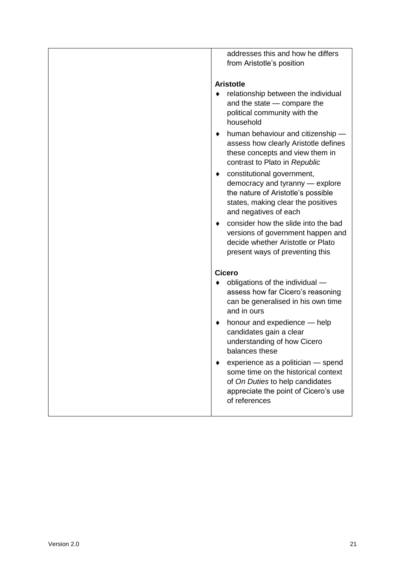| addresses this and how he differs<br>from Aristotle's position                                                                                                          |
|-------------------------------------------------------------------------------------------------------------------------------------------------------------------------|
| <b>Aristotle</b>                                                                                                                                                        |
| relationship between the individual<br>$\bullet$<br>and the state - compare the<br>political community with the<br>household                                            |
| human behaviour and citizenship -<br>٠<br>assess how clearly Aristotle defines<br>these concepts and view them in<br>contrast to Plato in Republic                      |
| constitutional government,<br>٠<br>democracy and tyranny - explore<br>the nature of Aristotle's possible<br>states, making clear the positives<br>and negatives of each |
| consider how the slide into the bad<br>٠<br>versions of government happen and<br>decide whether Aristotle or Plato<br>present ways of preventing this                   |
| <b>Cicero</b>                                                                                                                                                           |
| obligations of the individual -<br>assess how far Cicero's reasoning<br>can be generalised in his own time<br>and in ours                                               |
| honour and expedience - help<br>٠<br>candidates gain a clear<br>understanding of how Cicero<br>balances these                                                           |
| experience as a politician - spend<br>some time on the historical context<br>of On Duties to help candidates<br>appreciate the point of Cicero's use<br>of references   |
|                                                                                                                                                                         |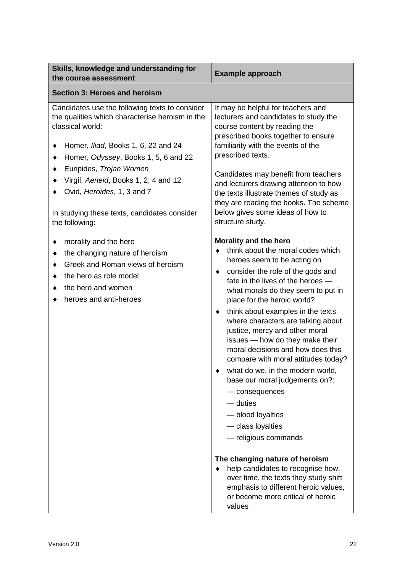| Skills, knowledge and understanding for<br>the course assessment                                                                                                                                                                                                                | <b>Example approach</b>                                                                                                                                                                                                                                                                                                                                                                                                                                                                                                                                                                                                                                                                                                                                                                                                                                     |
|---------------------------------------------------------------------------------------------------------------------------------------------------------------------------------------------------------------------------------------------------------------------------------|-------------------------------------------------------------------------------------------------------------------------------------------------------------------------------------------------------------------------------------------------------------------------------------------------------------------------------------------------------------------------------------------------------------------------------------------------------------------------------------------------------------------------------------------------------------------------------------------------------------------------------------------------------------------------------------------------------------------------------------------------------------------------------------------------------------------------------------------------------------|
| <b>Section 3: Heroes and heroism</b>                                                                                                                                                                                                                                            |                                                                                                                                                                                                                                                                                                                                                                                                                                                                                                                                                                                                                                                                                                                                                                                                                                                             |
| Candidates use the following texts to consider<br>the qualities which characterise heroism in the<br>classical world:<br>Homer, <i>Iliad</i> , Books 1, 6, 22 and 24<br>Homer, Odyssey, Books 1, 5, 6 and 22<br>Euripides, Trojan Women<br>Virgil, Aeneid, Books 1, 2, 4 and 12 | It may be helpful for teachers and<br>lecturers and candidates to study the<br>course content by reading the<br>prescribed books together to ensure<br>familiarity with the events of the<br>prescribed texts.<br>Candidates may benefit from teachers<br>and lecturers drawing attention to how                                                                                                                                                                                                                                                                                                                                                                                                                                                                                                                                                            |
| Ovid, Heroides, 1, 3 and 7<br>In studying these texts, candidates consider<br>the following:                                                                                                                                                                                    | the texts illustrate themes of study as<br>they are reading the books. The scheme<br>below gives some ideas of how to<br>structure study.                                                                                                                                                                                                                                                                                                                                                                                                                                                                                                                                                                                                                                                                                                                   |
| morality and the hero<br>the changing nature of heroism<br>Greek and Roman views of heroism<br>the hero as role model<br>the hero and women<br>heroes and anti-heroes                                                                                                           | Morality and the hero<br>think about the moral codes which<br>heroes seem to be acting on<br>consider the role of the gods and<br>٠<br>fate in the lives of the heroes -<br>what morals do they seem to put in<br>place for the heroic world?<br>think about examples in the texts<br>٠<br>where characters are talking about<br>justice, mercy and other moral<br>issues - how do they make their<br>moral decisions and how does this<br>compare with moral attitudes today?<br>what do we, in the modern world,<br>base our moral judgements on?:<br>- consequences<br>— duties<br>- blood loyalties<br>- class loyalties<br>- religious commands<br>The changing nature of heroism<br>help candidates to recognise how,<br>over time, the texts they study shift<br>emphasis to different heroic values,<br>or become more critical of heroic<br>values |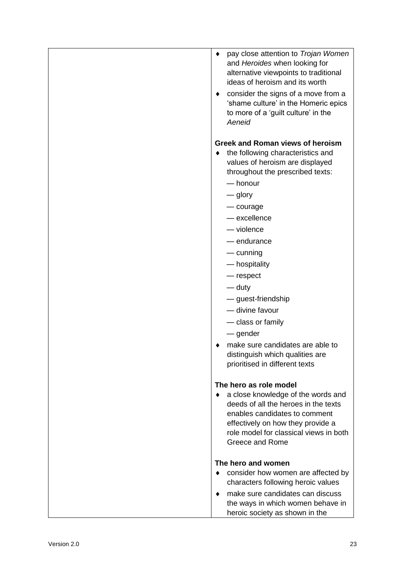| pay close attention to Trojan Women<br>٠<br>and Heroides when looking for<br>alternative viewpoints to traditional<br>ideas of heroism and its worth<br>consider the signs of a move from a<br>'shame culture' in the Homeric epics<br>to more of a 'guilt culture' in the<br>Aeneid                                                                                                                                                                                                                                                                                                                                                                                                                            |
|-----------------------------------------------------------------------------------------------------------------------------------------------------------------------------------------------------------------------------------------------------------------------------------------------------------------------------------------------------------------------------------------------------------------------------------------------------------------------------------------------------------------------------------------------------------------------------------------------------------------------------------------------------------------------------------------------------------------|
| <b>Greek and Roman views of heroism</b><br>the following characteristics and<br>values of heroism are displayed<br>throughout the prescribed texts:<br>— honour<br>— glory<br>— courage<br>- excellence<br>$-\nu$ iolence<br>— endurance<br>$-$ cunning<br>— hospitality<br>— respect<br>— duty<br>- guest-friendship<br>- divine favour<br>- class or family<br>— gender<br>make sure candidates are able to<br>distinguish which qualities are<br>prioritised in different texts<br>The hero as role model<br>a close knowledge of the words and<br>٠<br>deeds of all the heroes in the texts<br>enables candidates to comment<br>effectively on how they provide a<br>role model for classical views in both |
| Greece and Rome<br>The hero and women<br>consider how women are affected by<br>characters following heroic values<br>make sure candidates can discuss<br>٠<br>the ways in which women behave in<br>heroic society as shown in the                                                                                                                                                                                                                                                                                                                                                                                                                                                                               |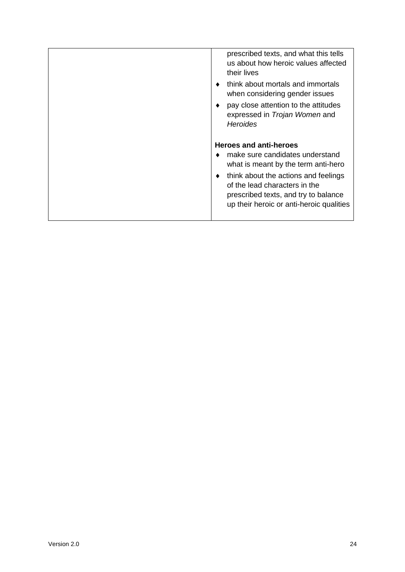| prescribed texts, and what this tells<br>us about how heroic values affected<br>their lives<br>think about mortals and immortals<br>when considering gender issues<br>pay close attention to the attitudes<br>expressed in <i>Trojan Women</i> and<br><b>Heroides</b> |
|-----------------------------------------------------------------------------------------------------------------------------------------------------------------------------------------------------------------------------------------------------------------------|
| <b>Heroes and anti-heroes</b><br>make sure candidates understand<br>what is meant by the term anti-hero<br>think about the actions and feelings<br>of the lead characters in the<br>prescribed texts, and try to balance<br>up their heroic or anti-heroic qualities  |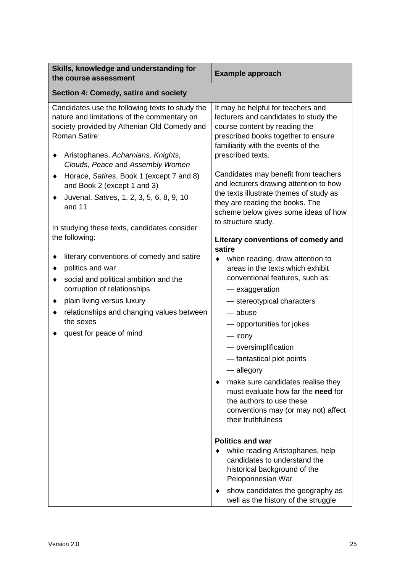| Skills, knowledge and understanding for<br>the course assessment                                                                                                                                                                                              | <b>Example approach</b>                                                                                                                                                                                                                                                                                                                                                                                                                                    |  |  |
|---------------------------------------------------------------------------------------------------------------------------------------------------------------------------------------------------------------------------------------------------------------|------------------------------------------------------------------------------------------------------------------------------------------------------------------------------------------------------------------------------------------------------------------------------------------------------------------------------------------------------------------------------------------------------------------------------------------------------------|--|--|
| Section 4: Comedy, satire and society                                                                                                                                                                                                                         |                                                                                                                                                                                                                                                                                                                                                                                                                                                            |  |  |
| Candidates use the following texts to study the<br>nature and limitations of the commentary on<br>society provided by Athenian Old Comedy and<br>Roman Satire:<br>Aristophanes, Acharnians, Knights,<br>Clouds, Peace and Assembly Women                      | It may be helpful for teachers and<br>lecturers and candidates to study the<br>course content by reading the<br>prescribed books together to ensure<br>familiarity with the events of the<br>prescribed texts.                                                                                                                                                                                                                                             |  |  |
| Horace, Satires, Book 1 (except 7 and 8)<br>٠<br>and Book 2 (except 1 and 3)<br>Juvenal, Satires, 1, 2, 3, 5, 6, 8, 9, 10<br>and 11                                                                                                                           | Candidates may benefit from teachers<br>and lecturers drawing attention to how<br>the texts illustrate themes of study as<br>they are reading the books. The<br>scheme below gives some ideas of how<br>to structure study.                                                                                                                                                                                                                                |  |  |
| In studying these texts, candidates consider<br>the following:                                                                                                                                                                                                | Literary conventions of comedy and                                                                                                                                                                                                                                                                                                                                                                                                                         |  |  |
| literary conventions of comedy and satire<br>politics and war<br>social and political ambition and the<br>corruption of relationships<br>plain living versus luxury<br>٠<br>relationships and changing values between<br>the sexes<br>quest for peace of mind | satire<br>when reading, draw attention to<br>areas in the texts which exhibit<br>conventional features, such as:<br>— exaggeration<br>- stereotypical characters<br>— abuse<br>- opportunities for jokes<br>— irony<br>- oversimplification<br>- fantastical plot points<br>— allegory<br>make sure candidates realise they<br>must evaluate how far the need for<br>the authors to use these<br>conventions may (or may not) affect<br>their truthfulness |  |  |
|                                                                                                                                                                                                                                                               | <b>Politics and war</b><br>while reading Aristophanes, help<br>candidates to understand the<br>historical background of the<br>Peloponnesian War                                                                                                                                                                                                                                                                                                           |  |  |
|                                                                                                                                                                                                                                                               | show candidates the geography as<br>well as the history of the struggle                                                                                                                                                                                                                                                                                                                                                                                    |  |  |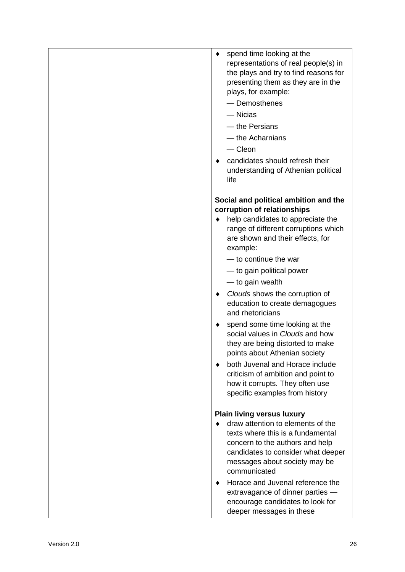- representations of real people(s) in the plays and try to find reasons for presenting them as they are in the plays, for example:
	- Demosthenes
	- Nicias
	- the Persians
	- the Acharnians
	- Cleon
- candidates should refresh their understanding of Athenian political life

#### **Social and political ambition and the corruption of relationships**

- help candidates to appreciate the range of different corruptions which are shown and their effects, for example:
	- to continue the war
	- to gain political power
	- to gain wealth
- ◆ *Clouds* shows the corruption of education to create demagogues and rhetoricians
- ◆ spend some time looking at the social values in *Clouds* and how they are being distorted to make points about Athenian society
- ◆ both Juvenal and Horace include criticism of ambition and point to how it corrupts. They often use specific examples from history

#### **Plain living versus luxury**

- version time looking at the<br>
representations of real psople(s) in<br>
the plays and hy fo find reasons for<br>
presentations of real and policy in<br>
presenting them as they are in the<br>
plays, for example:<br>
 Democratienes<br>
 t ◆ draw attention to elements of the texts where this is a fundamental concern to the authors and help candidates to consider what deeper messages about society may be communicated
	- ◆ Horace and Juvenal reference the extravagance of dinner parties encourage candidates to look for deeper messages in these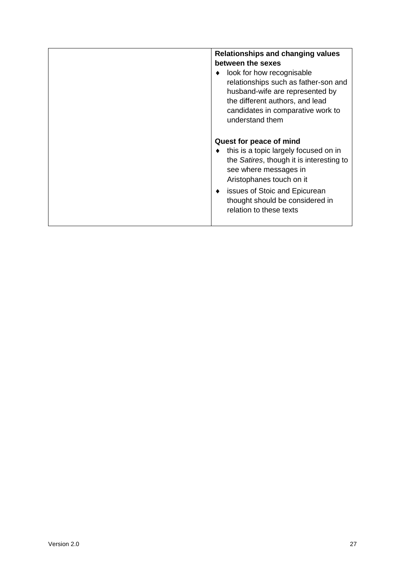| Relationships and changing values<br>between the sexes<br>look for how recognisable<br>relationships such as father-son and<br>husband-wife are represented by<br>the different authors, and lead<br>candidates in comparative work to<br>understand them                     |
|-------------------------------------------------------------------------------------------------------------------------------------------------------------------------------------------------------------------------------------------------------------------------------|
| Quest for peace of mind<br>this is a topic largely focused on in<br>the Satires, though it is interesting to<br>see where messages in<br>Aristophanes touch on it<br>issues of Stoic and Epicurean<br>$\bullet$<br>thought should be considered in<br>relation to these texts |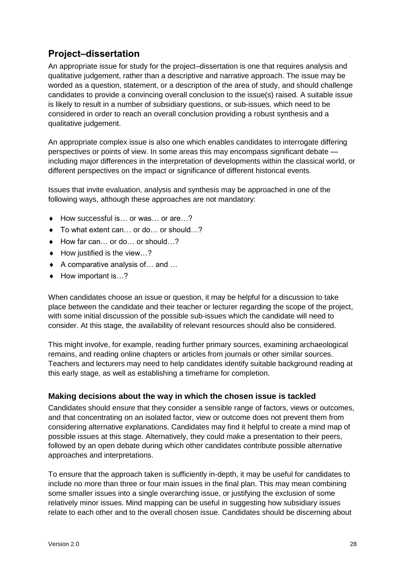### **Project–dissertation**

An appropriate issue for study for the project–dissertation is one that requires analysis and qualitative judgement, rather than a descriptive and narrative approach. The issue may be worded as a question, statement, or a description of the area of study, and should challenge candidates to provide a convincing overall conclusion to the issue(s) raised. A suitable issue is likely to result in a number of subsidiary questions, or sub-issues, which need to be considered in order to reach an overall conclusion providing a robust synthesis and a qualitative judgement.

An appropriate complex issue is also one which enables candidates to interrogate differing perspectives or points of view. In some areas this may encompass significant debate including major differences in the interpretation of developments within the classical world, or different perspectives on the impact or significance of different historical events.

Issues that invite evaluation, analysis and synthesis may be approached in one of the following ways, although these approaches are not mandatory:

- ◆ How successful is... or was... or are...?
- ◆ To what extent can... or do... or should...?
- ◆ How far can... or do... or should...?
- $\bullet$  How justified is the view...?
- ◆ A comparative analysis of... and ...
- ◆ How important is…?

When candidates choose an issue or question, it may be helpful for a discussion to take place between the candidate and their teacher or lecturer regarding the scope of the project, with some initial discussion of the possible sub-issues which the candidate will need to consider. At this stage, the availability of relevant resources should also be considered.

This might involve, for example, reading further primary sources, examining archaeological remains, and reading online chapters or articles from journals or other similar sources. Teachers and lecturers may need to help candidates identify suitable background reading at this early stage, as well as establishing a timeframe for completion.

#### **Making decisions about the way in which the chosen issue is tackled**

Candidates should ensure that they consider a sensible range of factors, views or outcomes, and that concentrating on an isolated factor, view or outcome does not prevent them from considering alternative explanations. Candidates may find it helpful to create a mind map of possible issues at this stage. Alternatively, they could make a presentation to their peers, followed by an open debate during which other candidates contribute possible alternative approaches and interpretations.

To ensure that the approach taken is sufficiently in-depth, it may be useful for candidates to include no more than three or four main issues in the final plan. This may mean combining some smaller issues into a single overarching issue, or justifying the exclusion of some relatively minor issues. Mind mapping can be useful in suggesting how subsidiary issues relate to each other and to the overall chosen issue. Candidates should be discerning about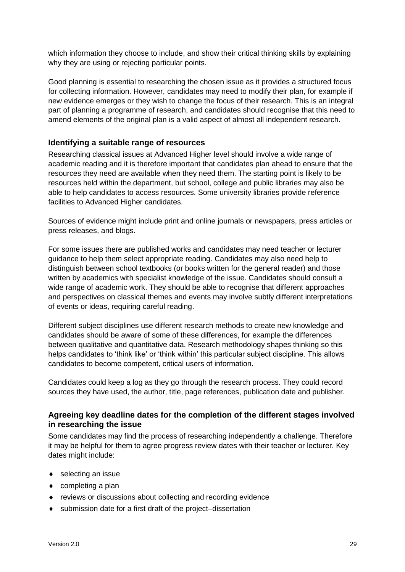which information they choose to include, and show their critical thinking skills by explaining why they are using or rejecting particular points.

Good planning is essential to researching the chosen issue as it provides a structured focus for collecting information. However, candidates may need to modify their plan, for example if new evidence emerges or they wish to change the focus of their research. This is an integral part of planning a programme of research, and candidates should recognise that this need to amend elements of the original plan is a valid aspect of almost all independent research.

#### **Identifying a suitable range of resources**

Researching classical issues at Advanced Higher level should involve a wide range of academic reading and it is therefore important that candidates plan ahead to ensure that the resources they need are available when they need them. The starting point is likely to be resources held within the department, but school, college and public libraries may also be able to help candidates to access resources. Some university libraries provide reference facilities to Advanced Higher candidates.

Sources of evidence might include print and online journals or newspapers, press articles or press releases, and blogs.

For some issues there are published works and candidates may need teacher or lecturer guidance to help them select appropriate reading. Candidates may also need help to distinguish between school textbooks (or books written for the general reader) and those written by academics with specialist knowledge of the issue. Candidates should consult a wide range of academic work. They should be able to recognise that different approaches and perspectives on classical themes and events may involve subtly different interpretations of events or ideas, requiring careful reading.

Different subject disciplines use different research methods to create new knowledge and candidates should be aware of some of these differences, for example the differences between qualitative and quantitative data. Research methodology shapes thinking so this helps candidates to 'think like' or 'think within' this particular subject discipline. This allows candidates to become competent, critical users of information.

Candidates could keep a log as they go through the research process. They could record sources they have used, the author, title, page references, publication date and publisher.

#### **Agreeing key deadline dates for the completion of the different stages involved in researching the issue**

Some candidates may find the process of researching independently a challenge. Therefore it may be helpful for them to agree progress review dates with their teacher or lecturer. Key dates might include:

- ◆ selecting an issue
- $\bullet$  completing a plan
- reviews or discussions about collecting and recording evidence
- ◆ submission date for a first draft of the project-dissertation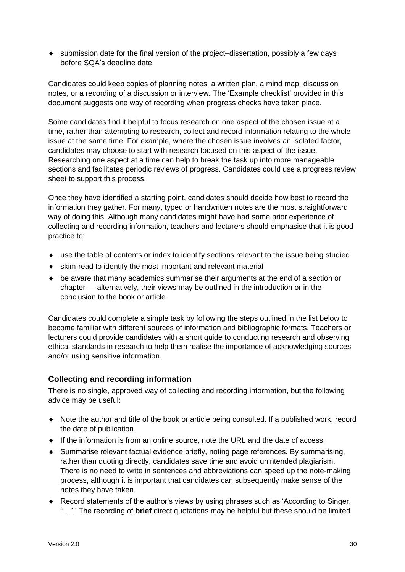submission date for the final version of the project–dissertation, possibly a few days before SQA's deadline date

Candidates could keep copies of planning notes, a written plan, a mind map, discussion notes, or a recording of a discussion or interview. The 'Example checklist' provided in this document suggests one way of recording when progress checks have taken place.

Some candidates find it helpful to focus research on one aspect of the chosen issue at a time, rather than attempting to research, collect and record information relating to the whole issue at the same time. For example, where the chosen issue involves an isolated factor, candidates may choose to start with research focused on this aspect of the issue. Researching one aspect at a time can help to break the task up into more manageable sections and facilitates periodic reviews of progress. Candidates could use a progress review sheet to support this process.

Once they have identified a starting point, candidates should decide how best to record the information they gather. For many, typed or handwritten notes are the most straightforward way of doing this. Although many candidates might have had some prior experience of collecting and recording information, teachers and lecturers should emphasise that it is good practice to:

- use the table of contents or index to identify sections relevant to the issue being studied
- skim-read to identify the most important and relevant material
- be aware that many academics summarise their arguments at the end of a section or chapter — alternatively, their views may be outlined in the introduction or in the conclusion to the book or article

Candidates could complete a simple task by following the steps outlined in the list below to become familiar with different sources of information and bibliographic formats. Teachers or lecturers could provide candidates with a short guide to conducting research and observing ethical standards in research to help them realise the importance of acknowledging sources and/or using sensitive information.

#### **Collecting and recording information**

There is no single, approved way of collecting and recording information, but the following advice may be useful:

- Note the author and title of the book or article being consulted. If a published work, record the date of publication.
- $\bullet$  If the information is from an online source, note the URL and the date of access.
- Summarise relevant factual evidence briefly, noting page references. By summarising, rather than quoting directly, candidates save time and avoid unintended plagiarism. There is no need to write in sentences and abbreviations can speed up the note-making process, although it is important that candidates can subsequently make sense of the notes they have taken.
- Record statements of the author's views by using phrases such as 'According to Singer, "…".' The recording of **brief** direct quotations may be helpful but these should be limited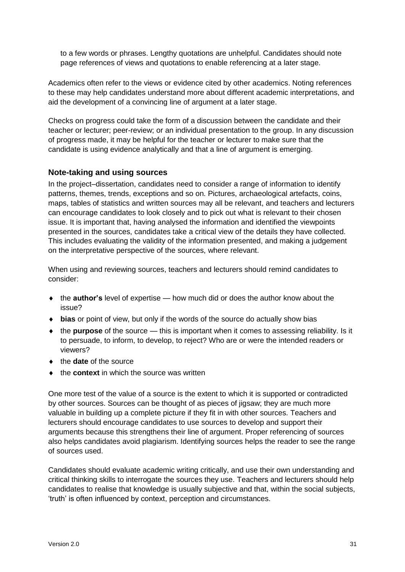to a few words or phrases. Lengthy quotations are unhelpful. Candidates should note page references of views and quotations to enable referencing at a later stage.

Academics often refer to the views or evidence cited by other academics. Noting references to these may help candidates understand more about different academic interpretations, and aid the development of a convincing line of argument at a later stage.

Checks on progress could take the form of a discussion between the candidate and their teacher or lecturer; peer-review; or an individual presentation to the group. In any discussion of progress made, it may be helpful for the teacher or lecturer to make sure that the candidate is using evidence analytically and that a line of argument is emerging.

#### **Note-taking and using sources**

In the project–dissertation, candidates need to consider a range of information to identify patterns, themes, trends, exceptions and so on. Pictures, archaeological artefacts, coins, maps, tables of statistics and written sources may all be relevant, and teachers and lecturers can encourage candidates to look closely and to pick out what is relevant to their chosen issue. It is important that, having analysed the information and identified the viewpoints presented in the sources, candidates take a critical view of the details they have collected. This includes evaluating the validity of the information presented, and making a judgement on the interpretative perspective of the sources, where relevant.

When using and reviewing sources, teachers and lecturers should remind candidates to consider:

- the **author's** level of expertise how much did or does the author know about the issue?
- **bias** or point of view, but only if the words of the source do actually show bias
- the **purpose** of the source this is important when it comes to assessing reliability. Is it to persuade, to inform, to develop, to reject? Who are or were the intended readers or viewers?
- ◆ the **date** of the source
- ◆ the **context** in which the source was written

One more test of the value of a source is the extent to which it is supported or contradicted by other sources. Sources can be thought of as pieces of jigsaw; they are much more valuable in building up a complete picture if they fit in with other sources. Teachers and lecturers should encourage candidates to use sources to develop and support their arguments because this strengthens their line of argument. Proper referencing of sources also helps candidates avoid plagiarism. Identifying sources helps the reader to see the range of sources used.

Candidates should evaluate academic writing critically, and use their own understanding and critical thinking skills to interrogate the sources they use. Teachers and lecturers should help candidates to realise that knowledge is usually subjective and that, within the social subjects, 'truth' is often influenced by context, perception and circumstances.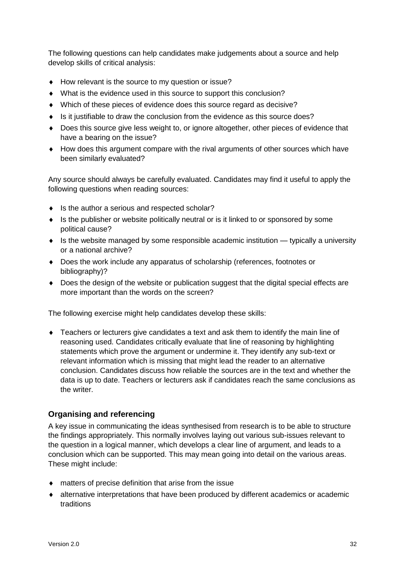The following questions can help candidates make judgements about a source and help develop skills of critical analysis:

- ◆ How relevant is the source to my question or issue?
- What is the evidence used in this source to support this conclusion?
- Which of these pieces of evidence does this source regard as decisive?
- $\bullet$  Is it justifiable to draw the conclusion from the evidence as this source does?
- Does this source give less weight to, or ignore altogether, other pieces of evidence that have a bearing on the issue?
- How does this argument compare with the rival arguments of other sources which have been similarly evaluated?

Any source should always be carefully evaluated. Candidates may find it useful to apply the following questions when reading sources:

- $\bullet$  Is the author a serious and respected scholar?
- Is the publisher or website politically neutral or is it linked to or sponsored by some political cause?
- Is the website managed by some responsible academic institution typically a university or a national archive?
- Does the work include any apparatus of scholarship (references, footnotes or bibliography)?
- Does the design of the website or publication suggest that the digital special effects are more important than the words on the screen?

The following exercise might help candidates develop these skills:

 Teachers or lecturers give candidates a text and ask them to identify the main line of reasoning used. Candidates critically evaluate that line of reasoning by highlighting statements which prove the argument or undermine it. They identify any sub-text or relevant information which is missing that might lead the reader to an alternative conclusion. Candidates discuss how reliable the sources are in the text and whether the data is up to date. Teachers or lecturers ask if candidates reach the same conclusions as the writer.

#### **Organising and referencing**

A key issue in communicating the ideas synthesised from research is to be able to structure the findings appropriately. This normally involves laying out various sub-issues relevant to the question in a logical manner, which develops a clear line of argument, and leads to a conclusion which can be supported. This may mean going into detail on the various areas. These might include:

- matters of precise definition that arise from the issue
- alternative interpretations that have been produced by different academics or academic traditions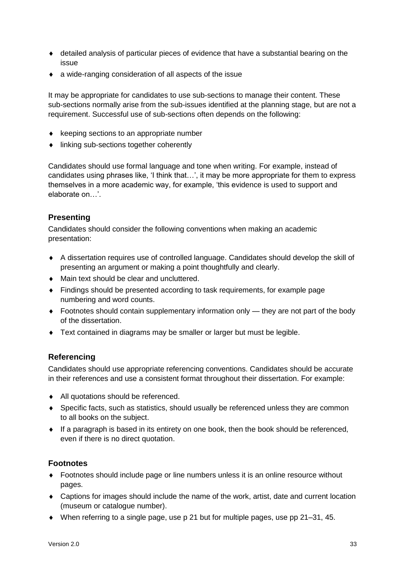- detailed analysis of particular pieces of evidence that have a substantial bearing on the issue
- a wide-ranging consideration of all aspects of the issue

It may be appropriate for candidates to use sub-sections to manage their content. These sub-sections normally arise from the sub-issues identified at the planning stage, but are not a requirement. Successful use of sub-sections often depends on the following:

- $\bullet$  keeping sections to an appropriate number
- linking sub-sections together coherently

Candidates should use formal language and tone when writing. For example, instead of candidates using phrases like, 'I think that…', it may be more appropriate for them to express themselves in a more academic way, for example, 'this evidence is used to support and elaborate on…'.

#### **Presenting**

Candidates should consider the following conventions when making an academic presentation:

- A dissertation requires use of controlled language. Candidates should develop the skill of presenting an argument or making a point thoughtfully and clearly.
- ◆ Main text should be clear and uncluttered.
- Findings should be presented according to task requirements, for example page numbering and word counts.
- Footnotes should contain supplementary information only they are not part of the body of the dissertation.
- **Text contained in diagrams may be smaller or larger but must be legible.**

#### **Referencing**

Candidates should use appropriate referencing conventions. Candidates should be accurate in their references and use a consistent format throughout their dissertation. For example:

- All quotations should be referenced.
- Specific facts, such as statistics, should usually be referenced unless they are common to all books on the subject.
- $\bullet$  If a paragraph is based in its entirety on one book, then the book should be referenced, even if there is no direct quotation.

#### **Footnotes**

- Footnotes should include page or line numbers unless it is an online resource without pages.
- Captions for images should include the name of the work, artist, date and current location (museum or catalogue number).
- When referring to a single page, use p 21 but for multiple pages, use pp 21–31, 45.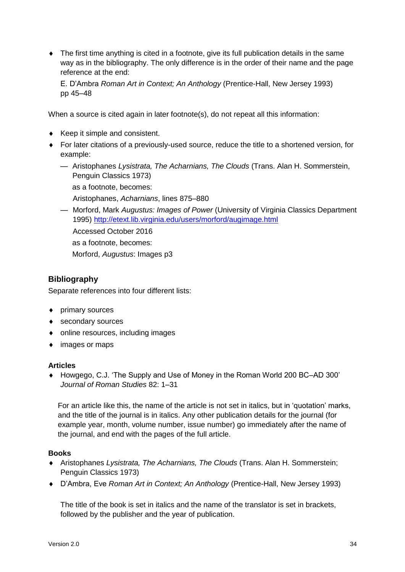The first time anything is cited in a footnote, give its full publication details in the same way as in the bibliography. The only difference is in the order of their name and the page reference at the end:

E. D'Ambra *Roman Art in Context; An Anthology* (Prentice-Hall, New Jersey 1993) pp 45–48

When a source is cited again in later footnote(s), do not repeat all this information:

- $\triangleleft$  Keep it simple and consistent.
- For later citations of a previously-used source, reduce the title to a shortened version, for example:
	- Aristophanes *Lysistrata, The Acharnians, The Clouds* (Trans. Alan H. Sommerstein, Penguin Classics 1973)

as a footnote, becomes:

Aristophanes, *Acharnians*, lines 875–880

— Morford, Mark *Augustus: Images of Power* (University of Virginia Classics Department 1995) <http://etext.lib.virginia.edu/users/morford/augimage.html>

Accessed October 2016

as a footnote, becomes:

Morford, *Augustus*: Images p3

#### **Bibliography**

Separate references into four different lists:

- primary sources
- ◆ secondary sources
- online resources, including images
- images or maps

#### **Articles**

◆ Howgego, C.J. 'The Supply and Use of Money in the Roman World 200 BC–AD 300' *Journal of Roman Studies* 82: 1–31

For an article like this, the name of the article is not set in italics, but in 'quotation' marks, and the title of the journal is in italics. Any other publication details for the journal (for example year, month, volume number, issue number) go immediately after the name of the journal, and end with the pages of the full article.

#### **Books**

- Aristophanes *Lysistrata, The Acharnians, The Clouds* (Trans. Alan H. Sommerstein; Penguin Classics 1973)
- D'Ambra, Eve *Roman Art in Context; An Anthology* (Prentice-Hall, New Jersey 1993)

The title of the book is set in italics and the name of the translator is set in brackets, followed by the publisher and the year of publication.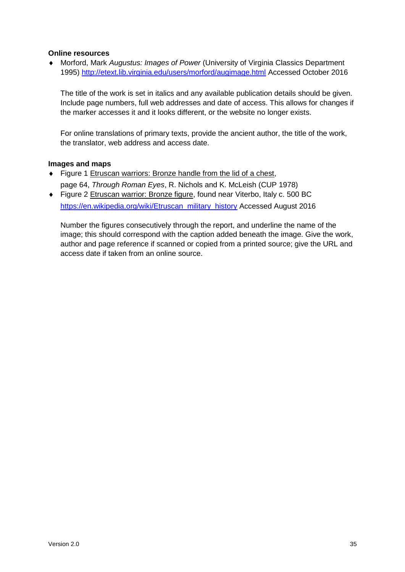#### **Online resources**

 Morford, Mark *Augustus: Images of Power* (University of Virginia Classics Department 1995) <http://etext.lib.virginia.edu/users/morford/augimage.html> Accessed October 2016

The title of the work is set in italics and any available publication details should be given. Include page numbers, full web addresses and date of access. This allows for changes if the marker accesses it and it looks different, or the website no longer exists.

For online translations of primary texts, provide the ancient author, the title of the work, the translator, web address and access date.

#### **Images and maps**

- Figure 1 Etruscan warriors: Bronze handle from the lid of a chest, page 64, *Through Roman Eyes*, R. Nichols and K. McLeish (CUP 1978)
- ◆ Figure 2 Etruscan warrior: Bronze figure, found near Viterbo, Italy c. 500 BC [https://en.wikipedia.org/wiki/Etruscan\\_military\\_history](https://en.wikipedia.org/wiki/Etruscan_military_history) Accessed August 2016

Number the figures consecutively through the report, and underline the name of the image; this should correspond with the caption added beneath the image. Give the work, author and page reference if scanned or copied from a printed source; give the URL and access date if taken from an online source.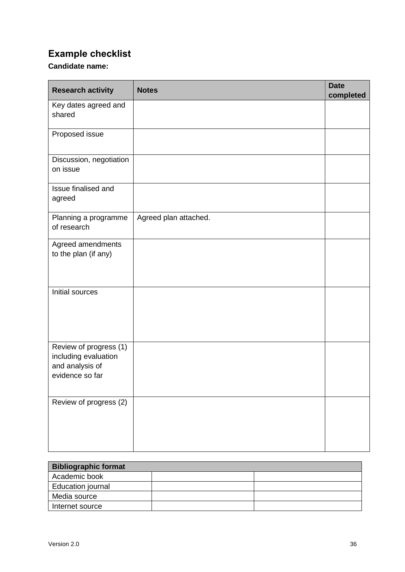### **Example checklist**

#### **Candidate name:**

| <b>Research activity</b>                                                             | <b>Notes</b>          | <b>Date</b><br>completed |
|--------------------------------------------------------------------------------------|-----------------------|--------------------------|
| Key dates agreed and<br>shared                                                       |                       |                          |
| Proposed issue                                                                       |                       |                          |
| Discussion, negotiation<br>on issue                                                  |                       |                          |
| Issue finalised and<br>agreed                                                        |                       |                          |
| Planning a programme<br>of research                                                  | Agreed plan attached. |                          |
| Agreed amendments<br>to the plan (if any)                                            |                       |                          |
| Initial sources                                                                      |                       |                          |
| Review of progress (1)<br>including evaluation<br>and analysis of<br>evidence so far |                       |                          |
| Review of progress (2)                                                               |                       |                          |

| <b>Bibliographic format</b> |  |  |  |
|-----------------------------|--|--|--|
| Academic book               |  |  |  |
| Education journal           |  |  |  |
| Media source                |  |  |  |
| Internet source             |  |  |  |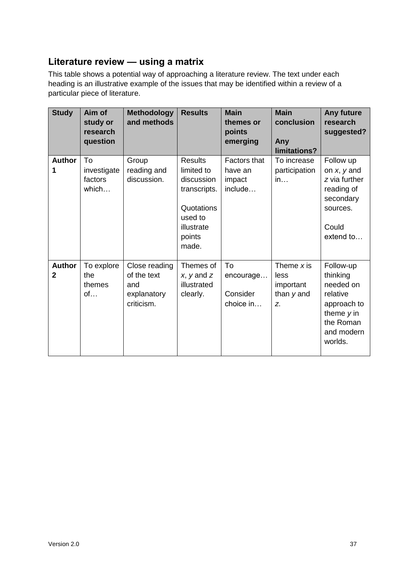### **Literature review — using a matrix**

This table shows a potential way of approaching a literature review. The text under each heading is an illustrative example of the issues that may be identified within a review of a particular piece of literature.

| <b>Study</b>                  | Aim of<br>study or<br>research<br>question | <b>Methodology</b><br>and methods                                | <b>Results</b>                                                                                                       | <b>Main</b><br>themes or<br>points<br>emerging      | <b>Main</b><br>conclusion<br>Any<br>limitations?        | <b>Any future</b><br>research<br>suggested?                                                                         |
|-------------------------------|--------------------------------------------|------------------------------------------------------------------|----------------------------------------------------------------------------------------------------------------------|-----------------------------------------------------|---------------------------------------------------------|---------------------------------------------------------------------------------------------------------------------|
| <b>Author</b><br>1            | To<br>investigate<br>factors<br>which      | Group<br>reading and<br>discussion.                              | <b>Results</b><br>limited to<br>discussion<br>transcripts.<br>Quotations<br>used to<br>illustrate<br>points<br>made. | <b>Factors that</b><br>have an<br>impact<br>include | To increase<br>participation<br>in                      | Follow up<br>on $x, y$ and<br>z via further<br>reading of<br>secondary<br>sources.<br>Could<br>extend to            |
| <b>Author</b><br>$\mathbf{2}$ | To explore<br>the<br>themes<br>of          | Close reading<br>of the text<br>and<br>explanatory<br>criticism. | Themes of<br>$x, y$ and $z$<br>illustrated<br>clearly.                                                               | To<br>encourage<br>Consider<br>choice in            | Theme $x$ is<br>less<br>important<br>than $y$ and<br>Z. | Follow-up<br>thinking<br>needed on<br>relative<br>approach to<br>theme $y$ in<br>the Roman<br>and modern<br>worlds. |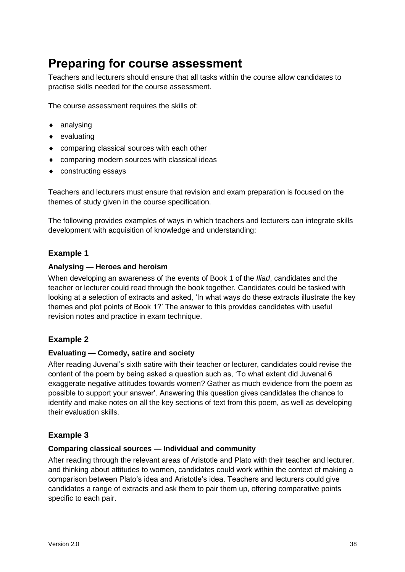### <span id="page-39-0"></span>**Preparing for course assessment**

Teachers and lecturers should ensure that all tasks within the course allow candidates to practise skills needed for the course assessment.

The course assessment requires the skills of:

- ◆ analysing
- evaluating
- ◆ comparing classical sources with each other
- comparing modern sources with classical ideas
- constructing essays

Teachers and lecturers must ensure that revision and exam preparation is focused on the themes of study given in the course specification.

The following provides examples of ways in which teachers and lecturers can integrate skills development with acquisition of knowledge and understanding:

#### **Example 1**

#### **Analysing — Heroes and heroism**

When developing an awareness of the events of Book 1 of the *Iliad*, candidates and the teacher or lecturer could read through the book together. Candidates could be tasked with looking at a selection of extracts and asked, 'In what ways do these extracts illustrate the key themes and plot points of Book 1?' The answer to this provides candidates with useful revision notes and practice in exam technique.

#### **Example 2**

#### **Evaluating — Comedy, satire and society**

After reading Juvenal's sixth satire with their teacher or lecturer, candidates could revise the content of the poem by being asked a question such as, 'To what extent did Juvenal 6 exaggerate negative attitudes towards women? Gather as much evidence from the poem as possible to support your answer'. Answering this question gives candidates the chance to identify and make notes on all the key sections of text from this poem, as well as developing their evaluation skills.

#### **Example 3**

#### **Comparing classical sources — Individual and community**

After reading through the relevant areas of Aristotle and Plato with their teacher and lecturer, and thinking about attitudes to women, candidates could work within the context of making a comparison between Plato's idea and Aristotle's idea. Teachers and lecturers could give candidates a range of extracts and ask them to pair them up, offering comparative points specific to each pair.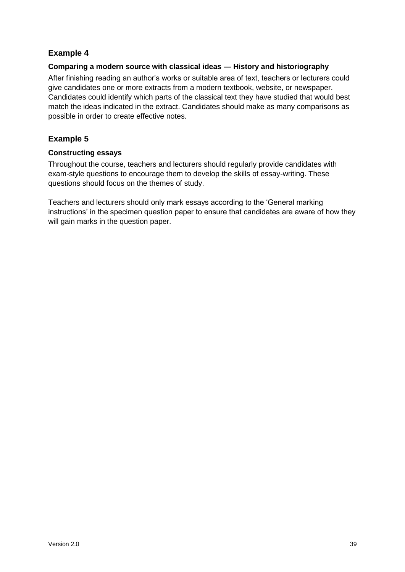#### **Example 4**

#### **Comparing a modern source with classical ideas — History and historiography**

After finishing reading an author's works or suitable area of text, teachers or lecturers could give candidates one or more extracts from a modern textbook, website, or newspaper. Candidates could identify which parts of the classical text they have studied that would best match the ideas indicated in the extract. Candidates should make as many comparisons as possible in order to create effective notes.

#### **Example 5**

#### **Constructing essays**

Throughout the course, teachers and lecturers should regularly provide candidates with exam-style questions to encourage them to develop the skills of essay-writing. These questions should focus on the themes of study.

Teachers and lecturers should only mark essays according to the 'General marking instructions' in the specimen question paper to ensure that candidates are aware of how they will gain marks in the question paper.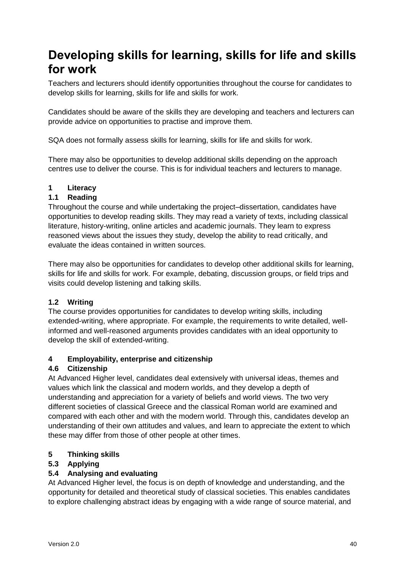## <span id="page-41-0"></span>**Developing skills for learning, skills for life and skills for work**

Teachers and lecturers should identify opportunities throughout the course for candidates to develop skills for learning, skills for life and skills for work.

Candidates should be aware of the skills they are developing and teachers and lecturers can provide advice on opportunities to practise and improve them.

SQA does not formally assess skills for learning, skills for life and skills for work.

There may also be opportunities to develop additional skills depending on the approach centres use to deliver the course. This is for individual teachers and lecturers to manage.

#### **1 Literacy**

#### **1.1 Reading**

Throughout the course and while undertaking the project–dissertation, candidates have opportunities to develop reading skills. They may read a variety of texts, including classical literature, history-writing, online articles and academic journals. They learn to express reasoned views about the issues they study, develop the ability to read critically, and evaluate the ideas contained in written sources.

There may also be opportunities for candidates to develop other additional skills for learning, skills for life and skills for work. For example, debating, discussion groups, or field trips and visits could develop listening and talking skills.

#### **1.2 Writing**

The course provides opportunities for candidates to develop writing skills, including extended-writing, where appropriate. For example, the requirements to write detailed, wellinformed and well-reasoned arguments provides candidates with an ideal opportunity to develop the skill of extended-writing.

#### **4 Employability, enterprise and citizenship**

#### **4.6 Citizenship**

At Advanced Higher level, candidates deal extensively with universal ideas, themes and values which link the classical and modern worlds, and they develop a depth of understanding and appreciation for a variety of beliefs and world views. The two very different societies of classical Greece and the classical Roman world are examined and compared with each other and with the modern world. Through this, candidates develop an understanding of their own attitudes and values, and learn to appreciate the extent to which these may differ from those of other people at other times.

#### **5 Thinking skills**

#### **5.3 Applying**

#### **5.4 Analysing and evaluating**

At Advanced Higher level, the focus is on depth of knowledge and understanding, and the opportunity for detailed and theoretical study of classical societies. This enables candidates to explore challenging abstract ideas by engaging with a wide range of source material, and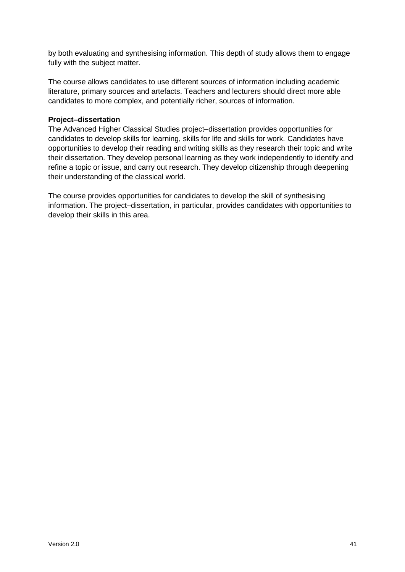by both evaluating and synthesising information. This depth of study allows them to engage fully with the subject matter.

The course allows candidates to use different sources of information including academic literature, primary sources and artefacts. Teachers and lecturers should direct more able candidates to more complex, and potentially richer, sources of information.

#### **Project–dissertation**

The Advanced Higher Classical Studies project–dissertation provides opportunities for candidates to develop skills for learning, skills for life and skills for work. Candidates have opportunities to develop their reading and writing skills as they research their topic and write their dissertation. They develop personal learning as they work independently to identify and refine a topic or issue, and carry out research. They develop citizenship through deepening their understanding of the classical world.

The course provides opportunities for candidates to develop the skill of synthesising information. The project–dissertation, in particular, provides candidates with opportunities to develop their skills in this area.